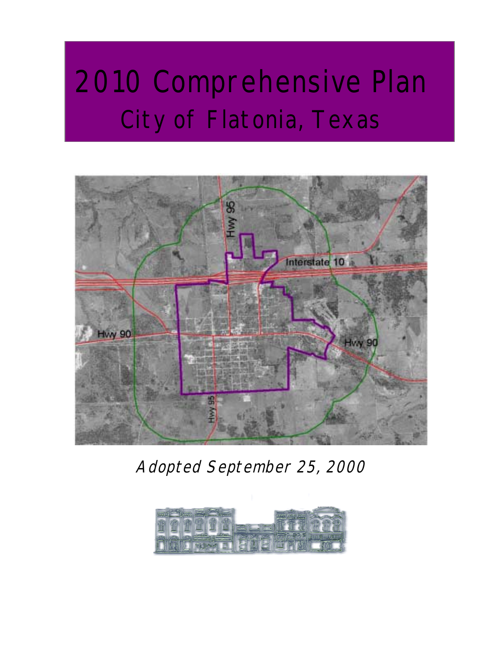# 2010 Comprehensive Plan City of Flatonia, Texas



Adopted September 25, 2000

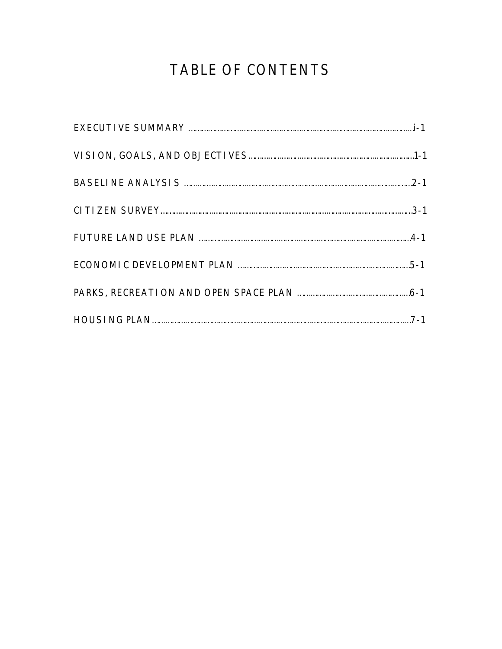## TABLE OF CONTENTS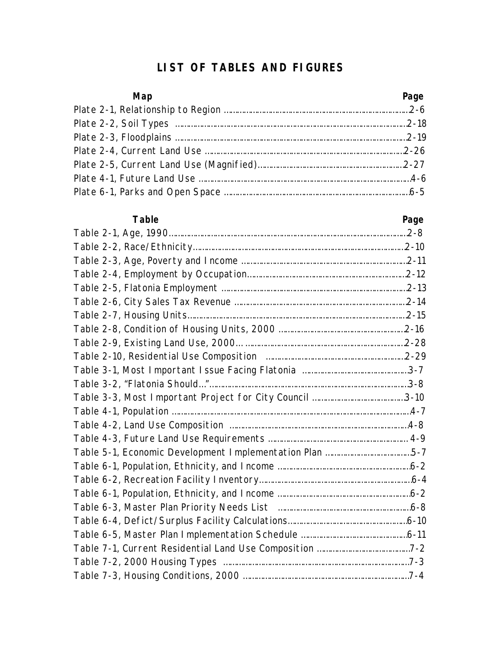#### **LIST OF TABLES AND FIGURES**

| Map | Page |
|-----|------|
|     |      |
|     |      |
|     |      |
|     |      |
|     |      |
|     |      |
|     |      |

| Table                                                   | Page |
|---------------------------------------------------------|------|
|                                                         |      |
|                                                         |      |
|                                                         |      |
|                                                         |      |
|                                                         |      |
|                                                         |      |
|                                                         |      |
|                                                         |      |
|                                                         |      |
|                                                         |      |
|                                                         |      |
|                                                         |      |
|                                                         |      |
|                                                         |      |
|                                                         |      |
|                                                         |      |
| Table 5-1, Economic Development Implementation Plan 5-7 |      |
|                                                         |      |
|                                                         |      |
|                                                         |      |
|                                                         |      |
|                                                         |      |
|                                                         |      |
|                                                         |      |
|                                                         |      |
|                                                         |      |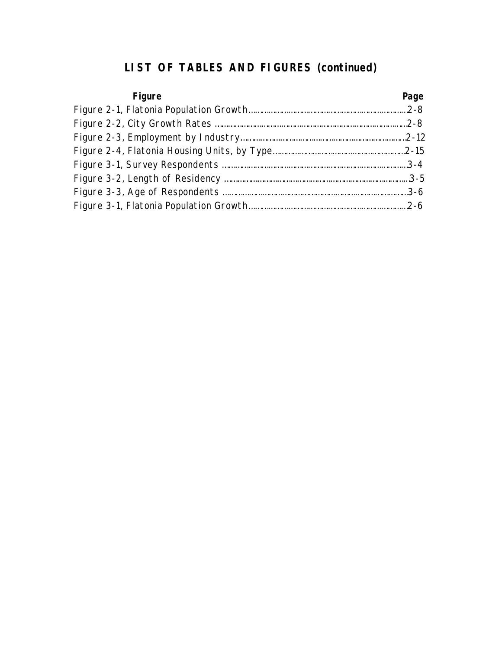### **LIST OF TABLES AND FIGURES (continued)**

| Figure | Page |
|--------|------|
|        |      |
|        |      |
|        |      |
|        |      |
|        |      |
|        |      |
|        |      |
|        |      |